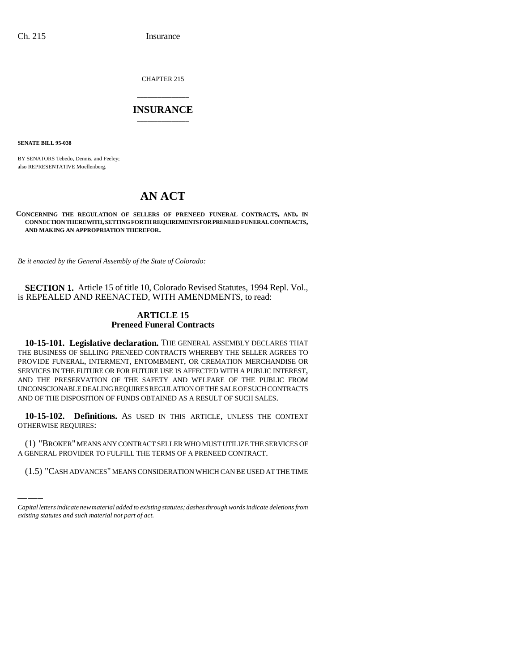CHAPTER 215

# \_\_\_\_\_\_\_\_\_\_\_\_\_\_\_ **INSURANCE** \_\_\_\_\_\_\_\_\_\_\_\_\_\_\_

**SENATE BILL 95-038**

BY SENATORS Tebedo, Dennis, and Feeley; also REPRESENTATIVE Moellenberg.

# **AN ACT**

### **CONCERNING THE REGULATION OF SELLERS OF PRENEED FUNERAL CONTRACTS, AND, IN CONNECTION THEREWITH, SETTING FORTH REQUIREMENTS FOR PRENEED FUNERAL CONTRACTS, AND MAKING AN APPROPRIATION THEREFOR.**

*Be it enacted by the General Assembly of the State of Colorado:*

**SECTION 1.** Article 15 of title 10, Colorado Revised Statutes, 1994 Repl. Vol., is REPEALED AND REENACTED, WITH AMENDMENTS, to read:

# **ARTICLE 15 Preneed Funeral Contracts**

**10-15-101. Legislative declaration.** THE GENERAL ASSEMBLY DECLARES THAT THE BUSINESS OF SELLING PRENEED CONTRACTS WHEREBY THE SELLER AGREES TO PROVIDE FUNERAL, INTERMENT, ENTOMBMENT, OR CREMATION MERCHANDISE OR SERVICES IN THE FUTURE OR FOR FUTURE USE IS AFFECTED WITH A PUBLIC INTEREST, AND THE PRESERVATION OF THE SAFETY AND WELFARE OF THE PUBLIC FROM UNCONSCIONABLE DEALING REQUIRES REGULATION OF THE SALE OF SUCH CONTRACTS AND OF THE DISPOSITION OF FUNDS OBTAINED AS A RESULT OF SUCH SALES.

**10-15-102. Definitions.** AS USED IN THIS ARTICLE, UNLESS THE CONTEXT OTHERWISE REQUIRES:

(1) "BROKER" MEANS ANY CONTRACT SELLER WHO MUST UTILIZE THE SERVICES OF A GENERAL PROVIDER TO FULFILL THE TERMS OF A PRENEED CONTRACT.

(1.5) "CASH ADVANCES" MEANS CONSIDERATION WHICH CAN BE USED AT THE TIME

*Capital letters indicate new material added to existing statutes; dashes through words indicate deletions from existing statutes and such material not part of act.*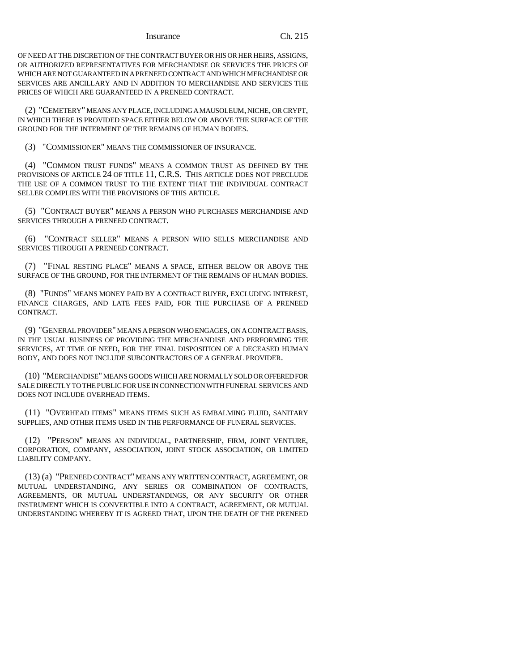OF NEED AT THE DISCRETION OF THE CONTRACT BUYER OR HIS OR HER HEIRS, ASSIGNS, OR AUTHORIZED REPRESENTATIVES FOR MERCHANDISE OR SERVICES THE PRICES OF WHICH ARE NOT GUARANTEED IN A PRENEED CONTRACT AND WHICH MERCHANDISE OR SERVICES ARE ANCILLARY AND IN ADDITION TO MERCHANDISE AND SERVICES THE PRICES OF WHICH ARE GUARANTEED IN A PRENEED CONTRACT.

(2) "CEMETERY" MEANS ANY PLACE, INCLUDING A MAUSOLEUM, NICHE, OR CRYPT, IN WHICH THERE IS PROVIDED SPACE EITHER BELOW OR ABOVE THE SURFACE OF THE GROUND FOR THE INTERMENT OF THE REMAINS OF HUMAN BODIES.

(3) "COMMISSIONER" MEANS THE COMMISSIONER OF INSURANCE.

(4) "COMMON TRUST FUNDS" MEANS A COMMON TRUST AS DEFINED BY THE PROVISIONS OF ARTICLE 24 OF TITLE 11, C.R.S. THIS ARTICLE DOES NOT PRECLUDE THE USE OF A COMMON TRUST TO THE EXTENT THAT THE INDIVIDUAL CONTRACT SELLER COMPLIES WITH THE PROVISIONS OF THIS ARTICLE.

(5) "CONTRACT BUYER" MEANS A PERSON WHO PURCHASES MERCHANDISE AND SERVICES THROUGH A PRENEED CONTRACT.

(6) "CONTRACT SELLER" MEANS A PERSON WHO SELLS MERCHANDISE AND SERVICES THROUGH A PRENEED CONTRACT.

(7) "FINAL RESTING PLACE" MEANS A SPACE, EITHER BELOW OR ABOVE THE SURFACE OF THE GROUND, FOR THE INTERMENT OF THE REMAINS OF HUMAN BODIES.

(8) "FUNDS" MEANS MONEY PAID BY A CONTRACT BUYER, EXCLUDING INTEREST, FINANCE CHARGES, AND LATE FEES PAID, FOR THE PURCHASE OF A PRENEED CONTRACT.

(9) "GENERAL PROVIDER" MEANS A PERSON WHO ENGAGES, ON A CONTRACT BASIS, IN THE USUAL BUSINESS OF PROVIDING THE MERCHANDISE AND PERFORMING THE SERVICES, AT TIME OF NEED, FOR THE FINAL DISPOSITION OF A DECEASED HUMAN BODY, AND DOES NOT INCLUDE SUBCONTRACTORS OF A GENERAL PROVIDER.

(10) "MERCHANDISE" MEANS GOODS WHICH ARE NORMALLY SOLD OR OFFERED FOR SALE DIRECTLY TO THE PUBLIC FOR USE IN CONNECTION WITH FUNERAL SERVICES AND DOES NOT INCLUDE OVERHEAD ITEMS.

(11) "OVERHEAD ITEMS" MEANS ITEMS SUCH AS EMBALMING FLUID, SANITARY SUPPLIES, AND OTHER ITEMS USED IN THE PERFORMANCE OF FUNERAL SERVICES.

(12) "PERSON" MEANS AN INDIVIDUAL, PARTNERSHIP, FIRM, JOINT VENTURE, CORPORATION, COMPANY, ASSOCIATION, JOINT STOCK ASSOCIATION, OR LIMITED LIABILITY COMPANY.

(13) (a) "PRENEED CONTRACT" MEANS ANY WRITTEN CONTRACT, AGREEMENT, OR MUTUAL UNDERSTANDING, ANY SERIES OR COMBINATION OF CONTRACTS, AGREEMENTS, OR MUTUAL UNDERSTANDINGS, OR ANY SECURITY OR OTHER INSTRUMENT WHICH IS CONVERTIBLE INTO A CONTRACT, AGREEMENT, OR MUTUAL UNDERSTANDING WHEREBY IT IS AGREED THAT, UPON THE DEATH OF THE PRENEED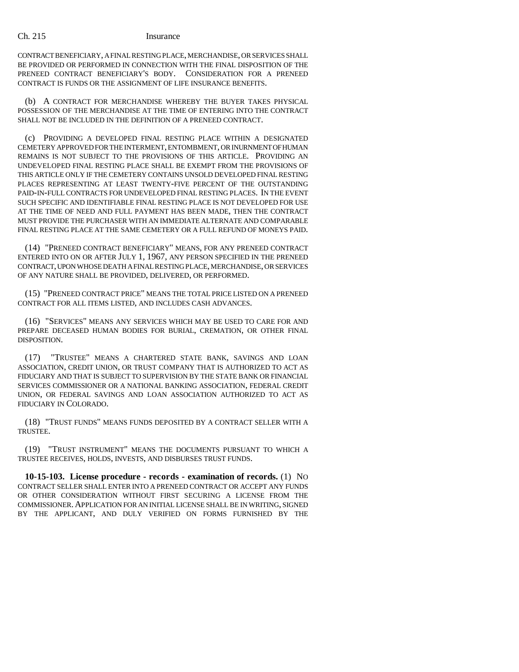CONTRACT BENEFICIARY, A FINAL RESTING PLACE, MERCHANDISE, OR SERVICES SHALL BE PROVIDED OR PERFORMED IN CONNECTION WITH THE FINAL DISPOSITION OF THE PRENEED CONTRACT BENEFICIARY'S BODY. CONSIDERATION FOR A PRENEED CONTRACT IS FUNDS OR THE ASSIGNMENT OF LIFE INSURANCE BENEFITS.

(b) A CONTRACT FOR MERCHANDISE WHEREBY THE BUYER TAKES PHYSICAL POSSESSION OF THE MERCHANDISE AT THE TIME OF ENTERING INTO THE CONTRACT SHALL NOT BE INCLUDED IN THE DEFINITION OF A PRENEED CONTRACT.

(c) PROVIDING A DEVELOPED FINAL RESTING PLACE WITHIN A DESIGNATED CEMETERY APPROVED FOR THE INTERMENT, ENTOMBMENT, OR INURNMENT OF HUMAN REMAINS IS NOT SUBJECT TO THE PROVISIONS OF THIS ARTICLE. PROVIDING AN UNDEVELOPED FINAL RESTING PLACE SHALL BE EXEMPT FROM THE PROVISIONS OF THIS ARTICLE ONLY IF THE CEMETERY CONTAINS UNSOLD DEVELOPED FINAL RESTING PLACES REPRESENTING AT LEAST TWENTY-FIVE PERCENT OF THE OUTSTANDING PAID-IN-FULL CONTRACTS FOR UNDEVELOPED FINAL RESTING PLACES. IN THE EVENT SUCH SPECIFIC AND IDENTIFIABLE FINAL RESTING PLACE IS NOT DEVELOPED FOR USE AT THE TIME OF NEED AND FULL PAYMENT HAS BEEN MADE, THEN THE CONTRACT MUST PROVIDE THE PURCHASER WITH AN IMMEDIATE ALTERNATE AND COMPARABLE FINAL RESTING PLACE AT THE SAME CEMETERY OR A FULL REFUND OF MONEYS PAID.

(14) "PRENEED CONTRACT BENEFICIARY" MEANS, FOR ANY PRENEED CONTRACT ENTERED INTO ON OR AFTER JULY 1, 1967, ANY PERSON SPECIFIED IN THE PRENEED CONTRACT, UPON WHOSE DEATH A FINAL RESTING PLACE, MERCHANDISE, OR SERVICES OF ANY NATURE SHALL BE PROVIDED, DELIVERED, OR PERFORMED.

(15) "PRENEED CONTRACT PRICE" MEANS THE TOTAL PRICE LISTED ON A PRENEED CONTRACT FOR ALL ITEMS LISTED, AND INCLUDES CASH ADVANCES.

(16) "SERVICES" MEANS ANY SERVICES WHICH MAY BE USED TO CARE FOR AND PREPARE DECEASED HUMAN BODIES FOR BURIAL, CREMATION, OR OTHER FINAL DISPOSITION.

(17) "TRUSTEE" MEANS A CHARTERED STATE BANK, SAVINGS AND LOAN ASSOCIATION, CREDIT UNION, OR TRUST COMPANY THAT IS AUTHORIZED TO ACT AS FIDUCIARY AND THAT IS SUBJECT TO SUPERVISION BY THE STATE BANK OR FINANCIAL SERVICES COMMISSIONER OR A NATIONAL BANKING ASSOCIATION, FEDERAL CREDIT UNION, OR FEDERAL SAVINGS AND LOAN ASSOCIATION AUTHORIZED TO ACT AS FIDUCIARY IN COLORADO.

(18) "TRUST FUNDS" MEANS FUNDS DEPOSITED BY A CONTRACT SELLER WITH A TRUSTEE.

(19) "TRUST INSTRUMENT" MEANS THE DOCUMENTS PURSUANT TO WHICH A TRUSTEE RECEIVES, HOLDS, INVESTS, AND DISBURSES TRUST FUNDS.

**10-15-103. License procedure - records - examination of records.** (1) NO CONTRACT SELLER SHALL ENTER INTO A PRENEED CONTRACT OR ACCEPT ANY FUNDS OR OTHER CONSIDERATION WITHOUT FIRST SECURING A LICENSE FROM THE COMMISSIONER.APPLICATION FOR AN INITIAL LICENSE SHALL BE IN WRITING, SIGNED BY THE APPLICANT, AND DULY VERIFIED ON FORMS FURNISHED BY THE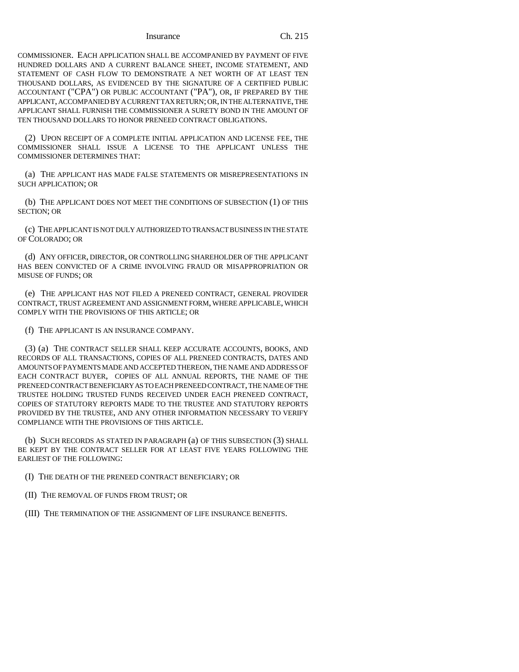COMMISSIONER. EACH APPLICATION SHALL BE ACCOMPANIED BY PAYMENT OF FIVE HUNDRED DOLLARS AND A CURRENT BALANCE SHEET, INCOME STATEMENT, AND STATEMENT OF CASH FLOW TO DEMONSTRATE A NET WORTH OF AT LEAST TEN THOUSAND DOLLARS, AS EVIDENCED BY THE SIGNATURE OF A CERTIFIED PUBLIC ACCOUNTANT ("CPA") OR PUBLIC ACCOUNTANT ("PA"), OR, IF PREPARED BY THE APPLICANT, ACCOMPANIED BY A CURRENT TAX RETURN; OR, IN THE ALTERNATIVE, THE APPLICANT SHALL FURNISH THE COMMISSIONER A SURETY BOND IN THE AMOUNT OF TEN THOUSAND DOLLARS TO HONOR PRENEED CONTRACT OBLIGATIONS.

(2) UPON RECEIPT OF A COMPLETE INITIAL APPLICATION AND LICENSE FEE, THE COMMISSIONER SHALL ISSUE A LICENSE TO THE APPLICANT UNLESS THE COMMISSIONER DETERMINES THAT:

(a) THE APPLICANT HAS MADE FALSE STATEMENTS OR MISREPRESENTATIONS IN SUCH APPLICATION; OR

(b) THE APPLICANT DOES NOT MEET THE CONDITIONS OF SUBSECTION (1) OF THIS SECTION; OR

(c) THE APPLICANT IS NOT DULY AUTHORIZED TO TRANSACT BUSINESS IN THE STATE OF COLORADO; OR

(d) ANY OFFICER, DIRECTOR, OR CONTROLLING SHAREHOLDER OF THE APPLICANT HAS BEEN CONVICTED OF A CRIME INVOLVING FRAUD OR MISAPPROPRIATION OR MISUSE OF FUNDS; OR

(e) THE APPLICANT HAS NOT FILED A PRENEED CONTRACT, GENERAL PROVIDER CONTRACT, TRUST AGREEMENT AND ASSIGNMENT FORM, WHERE APPLICABLE, WHICH COMPLY WITH THE PROVISIONS OF THIS ARTICLE; OR

(f) THE APPLICANT IS AN INSURANCE COMPANY.

(3) (a) THE CONTRACT SELLER SHALL KEEP ACCURATE ACCOUNTS, BOOKS, AND RECORDS OF ALL TRANSACTIONS, COPIES OF ALL PRENEED CONTRACTS, DATES AND AMOUNTS OF PAYMENTS MADE AND ACCEPTED THEREON, THE NAME AND ADDRESS OF EACH CONTRACT BUYER, COPIES OF ALL ANNUAL REPORTS, THE NAME OF THE PRENEED CONTRACT BENEFICIARY AS TO EACH PRENEED CONTRACT, THE NAME OF THE TRUSTEE HOLDING TRUSTED FUNDS RECEIVED UNDER EACH PRENEED CONTRACT, COPIES OF STATUTORY REPORTS MADE TO THE TRUSTEE AND STATUTORY REPORTS PROVIDED BY THE TRUSTEE, AND ANY OTHER INFORMATION NECESSARY TO VERIFY COMPLIANCE WITH THE PROVISIONS OF THIS ARTICLE.

(b) SUCH RECORDS AS STATED IN PARAGRAPH (a) OF THIS SUBSECTION (3) SHALL BE KEPT BY THE CONTRACT SELLER FOR AT LEAST FIVE YEARS FOLLOWING THE EARLIEST OF THE FOLLOWING:

(I) THE DEATH OF THE PRENEED CONTRACT BENEFICIARY; OR

(II) THE REMOVAL OF FUNDS FROM TRUST; OR

(III) THE TERMINATION OF THE ASSIGNMENT OF LIFE INSURANCE BENEFITS.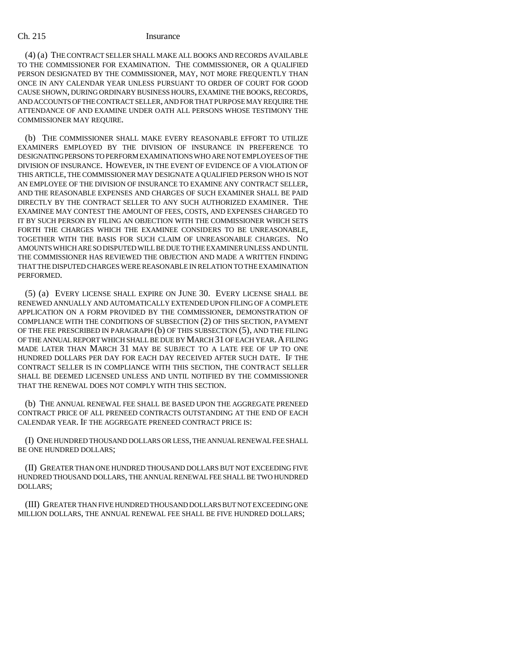(4) (a) THE CONTRACT SELLER SHALL MAKE ALL BOOKS AND RECORDS AVAILABLE TO THE COMMISSIONER FOR EXAMINATION. THE COMMISSIONER, OR A QUALIFIED PERSON DESIGNATED BY THE COMMISSIONER, MAY, NOT MORE FREQUENTLY THAN ONCE IN ANY CALENDAR YEAR UNLESS PURSUANT TO ORDER OF COURT FOR GOOD CAUSE SHOWN, DURING ORDINARY BUSINESS HOURS, EXAMINE THE BOOKS, RECORDS, AND ACCOUNTS OF THE CONTRACT SELLER, AND FOR THAT PURPOSE MAY REQUIRE THE ATTENDANCE OF AND EXAMINE UNDER OATH ALL PERSONS WHOSE TESTIMONY THE COMMISSIONER MAY REQUIRE.

(b) THE COMMISSIONER SHALL MAKE EVERY REASONABLE EFFORT TO UTILIZE EXAMINERS EMPLOYED BY THE DIVISION OF INSURANCE IN PREFERENCE TO DESIGNATING PERSONS TO PERFORM EXAMINATIONS WHO ARE NOT EMPLOYEES OF THE DIVISION OF INSURANCE. HOWEVER, IN THE EVENT OF EVIDENCE OF A VIOLATION OF THIS ARTICLE, THE COMMISSIONER MAY DESIGNATE A QUALIFIED PERSON WHO IS NOT AN EMPLOYEE OF THE DIVISION OF INSURANCE TO EXAMINE ANY CONTRACT SELLER, AND THE REASONABLE EXPENSES AND CHARGES OF SUCH EXAMINER SHALL BE PAID DIRECTLY BY THE CONTRACT SELLER TO ANY SUCH AUTHORIZED EXAMINER. THE EXAMINEE MAY CONTEST THE AMOUNT OF FEES, COSTS, AND EXPENSES CHARGED TO IT BY SUCH PERSON BY FILING AN OBJECTION WITH THE COMMISSIONER WHICH SETS FORTH THE CHARGES WHICH THE EXAMINEE CONSIDERS TO BE UNREASONABLE, TOGETHER WITH THE BASIS FOR SUCH CLAIM OF UNREASONABLE CHARGES. NO AMOUNTS WHICH ARE SO DISPUTED WILL BE DUE TO THE EXAMINER UNLESS AND UNTIL THE COMMISSIONER HAS REVIEWED THE OBJECTION AND MADE A WRITTEN FINDING THAT THE DISPUTED CHARGES WERE REASONABLE IN RELATION TO THE EXAMINATION PERFORMED.

(5) (a) EVERY LICENSE SHALL EXPIRE ON JUNE 30. EVERY LICENSE SHALL BE RENEWED ANNUALLY AND AUTOMATICALLY EXTENDED UPON FILING OF A COMPLETE APPLICATION ON A FORM PROVIDED BY THE COMMISSIONER, DEMONSTRATION OF COMPLIANCE WITH THE CONDITIONS OF SUBSECTION (2) OF THIS SECTION, PAYMENT OF THE FEE PRESCRIBED IN PARAGRAPH (b) OF THIS SUBSECTION (5), AND THE FILING OF THE ANNUAL REPORT WHICH SHALL BE DUE BY MARCH 31 OF EACH YEAR.A FILING MADE LATER THAN MARCH 31 MAY BE SUBJECT TO A LATE FEE OF UP TO ONE HUNDRED DOLLARS PER DAY FOR EACH DAY RECEIVED AFTER SUCH DATE. IF THE CONTRACT SELLER IS IN COMPLIANCE WITH THIS SECTION, THE CONTRACT SELLER SHALL BE DEEMED LICENSED UNLESS AND UNTIL NOTIFIED BY THE COMMISSIONER THAT THE RENEWAL DOES NOT COMPLY WITH THIS SECTION.

(b) THE ANNUAL RENEWAL FEE SHALL BE BASED UPON THE AGGREGATE PRENEED CONTRACT PRICE OF ALL PRENEED CONTRACTS OUTSTANDING AT THE END OF EACH CALENDAR YEAR. IF THE AGGREGATE PRENEED CONTRACT PRICE IS:

(I) ONE HUNDRED THOUSAND DOLLARS OR LESS, THE ANNUAL RENEWAL FEE SHALL BE ONE HUNDRED DOLLARS;

(II) GREATER THAN ONE HUNDRED THOUSAND DOLLARS BUT NOT EXCEEDING FIVE HUNDRED THOUSAND DOLLARS, THE ANNUAL RENEWAL FEE SHALL BE TWO HUNDRED DOLLARS;

(III) GREATER THAN FIVE HUNDRED THOUSAND DOLLARS BUT NOT EXCEEDING ONE MILLION DOLLARS, THE ANNUAL RENEWAL FEE SHALL BE FIVE HUNDRED DOLLARS;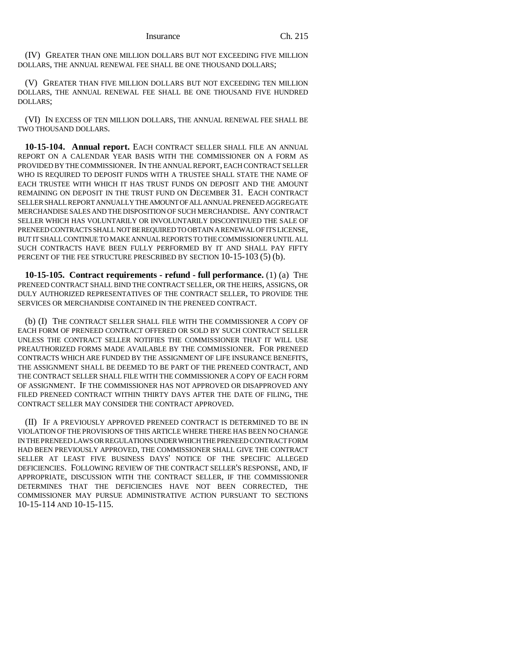(IV) GREATER THAN ONE MILLION DOLLARS BUT NOT EXCEEDING FIVE MILLION DOLLARS, THE ANNUAL RENEWAL FEE SHALL BE ONE THOUSAND DOLLARS;

(V) GREATER THAN FIVE MILLION DOLLARS BUT NOT EXCEEDING TEN MILLION DOLLARS, THE ANNUAL RENEWAL FEE SHALL BE ONE THOUSAND FIVE HUNDRED DOLLARS;

(VI) IN EXCESS OF TEN MILLION DOLLARS, THE ANNUAL RENEWAL FEE SHALL BE TWO THOUSAND DOLLARS.

**10-15-104. Annual report.** EACH CONTRACT SELLER SHALL FILE AN ANNUAL REPORT ON A CALENDAR YEAR BASIS WITH THE COMMISSIONER ON A FORM AS PROVIDED BY THE COMMISSIONER. IN THE ANNUAL REPORT, EACH CONTRACT SELLER WHO IS REQUIRED TO DEPOSIT FUNDS WITH A TRUSTEE SHALL STATE THE NAME OF EACH TRUSTEE WITH WHICH IT HAS TRUST FUNDS ON DEPOSIT AND THE AMOUNT REMAINING ON DEPOSIT IN THE TRUST FUND ON DECEMBER 31. EACH CONTRACT SELLER SHALL REPORT ANNUALLY THE AMOUNT OF ALL ANNUAL PRENEED AGGREGATE MERCHANDISE SALES AND THE DISPOSITION OF SUCH MERCHANDISE. ANY CONTRACT SELLER WHICH HAS VOLUNTARILY OR INVOLUNTARILY DISCONTINUED THE SALE OF PRENEED CONTRACTS SHALL NOT BE REQUIRED TO OBTAIN A RENEWAL OF ITS LICENSE, BUT IT SHALL CONTINUE TO MAKE ANNUAL REPORTS TO THE COMMISSIONER UNTIL ALL SUCH CONTRACTS HAVE BEEN FULLY PERFORMED BY IT AND SHALL PAY FIFTY PERCENT OF THE FEE STRUCTURE PRESCRIBED BY SECTION 10-15-103 (5) (b).

**10-15-105. Contract requirements - refund - full performance.** (1) (a) THE PRENEED CONTRACT SHALL BIND THE CONTRACT SELLER, OR THE HEIRS, ASSIGNS, OR DULY AUTHORIZED REPRESENTATIVES OF THE CONTRACT SELLER, TO PROVIDE THE SERVICES OR MERCHANDISE CONTAINED IN THE PRENEED CONTRACT.

(b) (I) THE CONTRACT SELLER SHALL FILE WITH THE COMMISSIONER A COPY OF EACH FORM OF PRENEED CONTRACT OFFERED OR SOLD BY SUCH CONTRACT SELLER UNLESS THE CONTRACT SELLER NOTIFIES THE COMMISSIONER THAT IT WILL USE PREAUTHORIZED FORMS MADE AVAILABLE BY THE COMMISSIONER. FOR PRENEED CONTRACTS WHICH ARE FUNDED BY THE ASSIGNMENT OF LIFE INSURANCE BENEFITS, THE ASSIGNMENT SHALL BE DEEMED TO BE PART OF THE PRENEED CONTRACT, AND THE CONTRACT SELLER SHALL FILE WITH THE COMMISSIONER A COPY OF EACH FORM OF ASSIGNMENT. IF THE COMMISSIONER HAS NOT APPROVED OR DISAPPROVED ANY FILED PRENEED CONTRACT WITHIN THIRTY DAYS AFTER THE DATE OF FILING, THE CONTRACT SELLER MAY CONSIDER THE CONTRACT APPROVED.

(II) IF A PREVIOUSLY APPROVED PRENEED CONTRACT IS DETERMINED TO BE IN VIOLATION OF THE PROVISIONS OF THIS ARTICLE WHERE THERE HAS BEEN NO CHANGE IN THE PRENEED LAWS OR REGULATIONS UNDER WHICH THE PRENEED CONTRACT FORM HAD BEEN PREVIOUSLY APPROVED, THE COMMISSIONER SHALL GIVE THE CONTRACT SELLER AT LEAST FIVE BUSINESS DAYS' NOTICE OF THE SPECIFIC ALLEGED DEFICIENCIES. FOLLOWING REVIEW OF THE CONTRACT SELLER'S RESPONSE, AND, IF APPROPRIATE, DISCUSSION WITH THE CONTRACT SELLER, IF THE COMMISSIONER DETERMINES THAT THE DEFICIENCIES HAVE NOT BEEN CORRECTED, THE COMMISSIONER MAY PURSUE ADMINISTRATIVE ACTION PURSUANT TO SECTIONS 10-15-114 AND 10-15-115.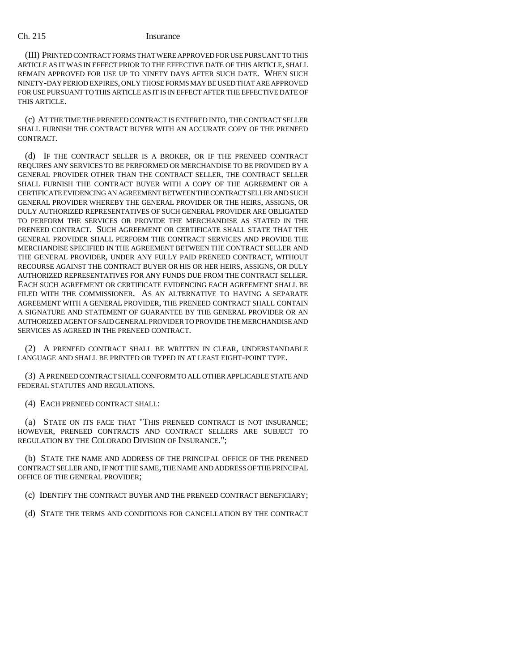(III) PRINTED CONTRACT FORMS THAT WERE APPROVED FOR USE PURSUANT TO THIS ARTICLE AS IT WAS IN EFFECT PRIOR TO THE EFFECTIVE DATE OF THIS ARTICLE, SHALL REMAIN APPROVED FOR USE UP TO NINETY DAYS AFTER SUCH DATE. WHEN SUCH NINETY-DAY PERIOD EXPIRES, ONLY THOSE FORMS MAY BE USED THAT ARE APPROVED FOR USE PURSUANT TO THIS ARTICLE AS IT IS IN EFFECT AFTER THE EFFECTIVE DATE OF THIS ARTICLE.

(c) AT THE TIME THE PRENEED CONTRACT IS ENTERED INTO, THE CONTRACT SELLER SHALL FURNISH THE CONTRACT BUYER WITH AN ACCURATE COPY OF THE PRENEED CONTRACT.

(d) IF THE CONTRACT SELLER IS A BROKER, OR IF THE PRENEED CONTRACT REQUIRES ANY SERVICES TO BE PERFORMED OR MERCHANDISE TO BE PROVIDED BY A GENERAL PROVIDER OTHER THAN THE CONTRACT SELLER, THE CONTRACT SELLER SHALL FURNISH THE CONTRACT BUYER WITH A COPY OF THE AGREEMENT OR A CERTIFICATE EVIDENCING AN AGREEMENT BETWEEN THE CONTRACT SELLER AND SUCH GENERAL PROVIDER WHEREBY THE GENERAL PROVIDER OR THE HEIRS, ASSIGNS, OR DULY AUTHORIZED REPRESENTATIVES OF SUCH GENERAL PROVIDER ARE OBLIGATED TO PERFORM THE SERVICES OR PROVIDE THE MERCHANDISE AS STATED IN THE PRENEED CONTRACT. SUCH AGREEMENT OR CERTIFICATE SHALL STATE THAT THE GENERAL PROVIDER SHALL PERFORM THE CONTRACT SERVICES AND PROVIDE THE MERCHANDISE SPECIFIED IN THE AGREEMENT BETWEEN THE CONTRACT SELLER AND THE GENERAL PROVIDER, UNDER ANY FULLY PAID PRENEED CONTRACT, WITHOUT RECOURSE AGAINST THE CONTRACT BUYER OR HIS OR HER HEIRS, ASSIGNS, OR DULY AUTHORIZED REPRESENTATIVES FOR ANY FUNDS DUE FROM THE CONTRACT SELLER. EACH SUCH AGREEMENT OR CERTIFICATE EVIDENCING EACH AGREEMENT SHALL BE FILED WITH THE COMMISSIONER. AS AN ALTERNATIVE TO HAVING A SEPARATE AGREEMENT WITH A GENERAL PROVIDER, THE PRENEED CONTRACT SHALL CONTAIN A SIGNATURE AND STATEMENT OF GUARANTEE BY THE GENERAL PROVIDER OR AN AUTHORIZED AGENT OF SAID GENERAL PROVIDER TO PROVIDE THE MERCHANDISE AND SERVICES AS AGREED IN THE PRENEED CONTRACT.

(2) A PRENEED CONTRACT SHALL BE WRITTEN IN CLEAR, UNDERSTANDABLE LANGUAGE AND SHALL BE PRINTED OR TYPED IN AT LEAST EIGHT-POINT TYPE.

(3) A PRENEED CONTRACT SHALL CONFORM TO ALL OTHER APPLICABLE STATE AND FEDERAL STATUTES AND REGULATIONS.

(4) EACH PRENEED CONTRACT SHALL:

(a) STATE ON ITS FACE THAT "THIS PRENEED CONTRACT IS NOT INSURANCE; HOWEVER, PRENEED CONTRACTS AND CONTRACT SELLERS ARE SUBJECT TO REGULATION BY THE COLORADO DIVISION OF INSURANCE.";

(b) STATE THE NAME AND ADDRESS OF THE PRINCIPAL OFFICE OF THE PRENEED CONTRACT SELLER AND, IF NOT THE SAME, THE NAME AND ADDRESS OF THE PRINCIPAL OFFICE OF THE GENERAL PROVIDER;

(c) IDENTIFY THE CONTRACT BUYER AND THE PRENEED CONTRACT BENEFICIARY;

(d) STATE THE TERMS AND CONDITIONS FOR CANCELLATION BY THE CONTRACT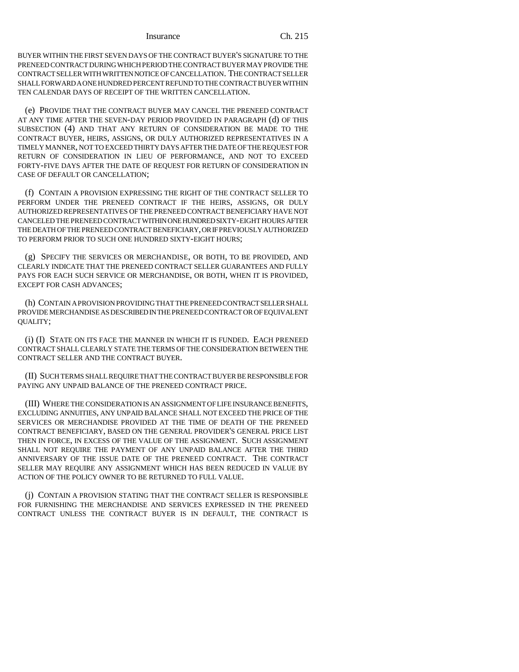BUYER WITHIN THE FIRST SEVEN DAYS OF THE CONTRACT BUYER'S SIGNATURE TO THE PRENEED CONTRACT DURING WHICH PERIOD THE CONTRACT BUYER MAY PROVIDE THE CONTRACT SELLER WITH WRITTEN NOTICE OF CANCELLATION. THE CONTRACT SELLER SHALL FORWARD A ONE HUNDRED PERCENT REFUND TO THE CONTRACT BUYER WITHIN TEN CALENDAR DAYS OF RECEIPT OF THE WRITTEN CANCELLATION.

(e) PROVIDE THAT THE CONTRACT BUYER MAY CANCEL THE PRENEED CONTRACT AT ANY TIME AFTER THE SEVEN-DAY PERIOD PROVIDED IN PARAGRAPH (d) OF THIS SUBSECTION (4) AND THAT ANY RETURN OF CONSIDERATION BE MADE TO THE CONTRACT BUYER, HEIRS, ASSIGNS, OR DULY AUTHORIZED REPRESENTATIVES IN A TIMELY MANNER, NOT TO EXCEED THIRTY DAYS AFTER THE DATE OF THE REQUEST FOR RETURN OF CONSIDERATION IN LIEU OF PERFORMANCE, AND NOT TO EXCEED FORTY-FIVE DAYS AFTER THE DATE OF REQUEST FOR RETURN OF CONSIDERATION IN CASE OF DEFAULT OR CANCELLATION;

(f) CONTAIN A PROVISION EXPRESSING THE RIGHT OF THE CONTRACT SELLER TO PERFORM UNDER THE PRENEED CONTRACT IF THE HEIRS, ASSIGNS, OR DULY AUTHORIZED REPRESENTATIVES OF THE PRENEED CONTRACT BENEFICIARY HAVE NOT CANCELED THE PRENEED CONTRACT WITHIN ONE HUNDRED SIXTY-EIGHT HOURS AFTER THE DEATH OF THE PRENEED CONTRACT BENEFICIARY, OR IF PREVIOUSLY AUTHORIZED TO PERFORM PRIOR TO SUCH ONE HUNDRED SIXTY-EIGHT HOURS;

(g) SPECIFY THE SERVICES OR MERCHANDISE, OR BOTH, TO BE PROVIDED, AND CLEARLY INDICATE THAT THE PRENEED CONTRACT SELLER GUARANTEES AND FULLY PAYS FOR EACH SUCH SERVICE OR MERCHANDISE, OR BOTH, WHEN IT IS PROVIDED, EXCEPT FOR CASH ADVANCES;

(h) CONTAIN A PROVISION PROVIDING THAT THE PRENEED CONTRACT SELLER SHALL PROVIDE MERCHANDISE AS DESCRIBED IN THE PRENEED CONTRACT OR OF EQUIVALENT QUALITY;

(i) (I) STATE ON ITS FACE THE MANNER IN WHICH IT IS FUNDED. EACH PRENEED CONTRACT SHALL CLEARLY STATE THE TERMS OF THE CONSIDERATION BETWEEN THE CONTRACT SELLER AND THE CONTRACT BUYER.

(II) SUCH TERMS SHALL REQUIRE THAT THE CONTRACT BUYER BE RESPONSIBLE FOR PAYING ANY UNPAID BALANCE OF THE PRENEED CONTRACT PRICE.

(III) WHERE THE CONSIDERATION IS AN ASSIGNMENT OF LIFE INSURANCE BENEFITS, EXCLUDING ANNUITIES, ANY UNPAID BALANCE SHALL NOT EXCEED THE PRICE OF THE SERVICES OR MERCHANDISE PROVIDED AT THE TIME OF DEATH OF THE PRENEED CONTRACT BENEFICIARY, BASED ON THE GENERAL PROVIDER'S GENERAL PRICE LIST THEN IN FORCE, IN EXCESS OF THE VALUE OF THE ASSIGNMENT. SUCH ASSIGNMENT SHALL NOT REQUIRE THE PAYMENT OF ANY UNPAID BALANCE AFTER THE THIRD ANNIVERSARY OF THE ISSUE DATE OF THE PRENEED CONTRACT. THE CONTRACT SELLER MAY REQUIRE ANY ASSIGNMENT WHICH HAS BEEN REDUCED IN VALUE BY ACTION OF THE POLICY OWNER TO BE RETURNED TO FULL VALUE.

(j) CONTAIN A PROVISION STATING THAT THE CONTRACT SELLER IS RESPONSIBLE FOR FURNISHING THE MERCHANDISE AND SERVICES EXPRESSED IN THE PRENEED CONTRACT UNLESS THE CONTRACT BUYER IS IN DEFAULT, THE CONTRACT IS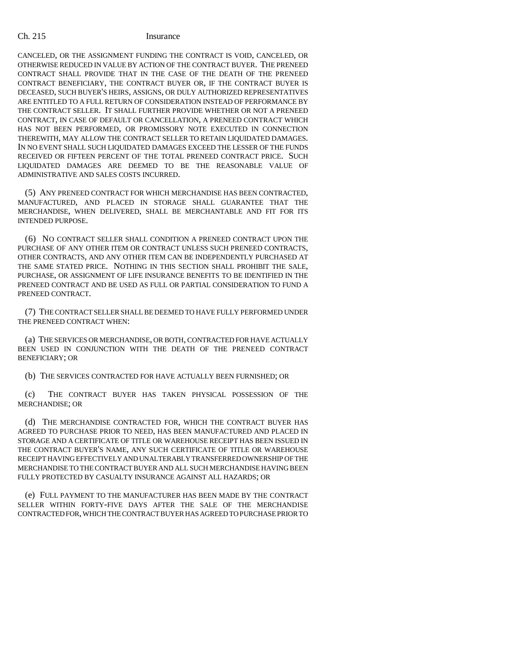CANCELED, OR THE ASSIGNMENT FUNDING THE CONTRACT IS VOID, CANCELED, OR OTHERWISE REDUCED IN VALUE BY ACTION OF THE CONTRACT BUYER. THE PRENEED CONTRACT SHALL PROVIDE THAT IN THE CASE OF THE DEATH OF THE PRENEED CONTRACT BENEFICIARY, THE CONTRACT BUYER OR, IF THE CONTRACT BUYER IS DECEASED, SUCH BUYER'S HEIRS, ASSIGNS, OR DULY AUTHORIZED REPRESENTATIVES ARE ENTITLED TO A FULL RETURN OF CONSIDERATION INSTEAD OF PERFORMANCE BY THE CONTRACT SELLER. IT SHALL FURTHER PROVIDE WHETHER OR NOT A PRENEED CONTRACT, IN CASE OF DEFAULT OR CANCELLATION, A PRENEED CONTRACT WHICH HAS NOT BEEN PERFORMED, OR PROMISSORY NOTE EXECUTED IN CONNECTION THEREWITH, MAY ALLOW THE CONTRACT SELLER TO RETAIN LIQUIDATED DAMAGES. IN NO EVENT SHALL SUCH LIQUIDATED DAMAGES EXCEED THE LESSER OF THE FUNDS RECEIVED OR FIFTEEN PERCENT OF THE TOTAL PRENEED CONTRACT PRICE. SUCH LIQUIDATED DAMAGES ARE DEEMED TO BE THE REASONABLE VALUE OF ADMINISTRATIVE AND SALES COSTS INCURRED.

(5) ANY PRENEED CONTRACT FOR WHICH MERCHANDISE HAS BEEN CONTRACTED, MANUFACTURED, AND PLACED IN STORAGE SHALL GUARANTEE THAT THE MERCHANDISE, WHEN DELIVERED, SHALL BE MERCHANTABLE AND FIT FOR ITS INTENDED PURPOSE.

(6) NO CONTRACT SELLER SHALL CONDITION A PRENEED CONTRACT UPON THE PURCHASE OF ANY OTHER ITEM OR CONTRACT UNLESS SUCH PRENEED CONTRACTS, OTHER CONTRACTS, AND ANY OTHER ITEM CAN BE INDEPENDENTLY PURCHASED AT THE SAME STATED PRICE. NOTHING IN THIS SECTION SHALL PROHIBIT THE SALE, PURCHASE, OR ASSIGNMENT OF LIFE INSURANCE BENEFITS TO BE IDENTIFIED IN THE PRENEED CONTRACT AND BE USED AS FULL OR PARTIAL CONSIDERATION TO FUND A PRENEED CONTRACT.

(7) THE CONTRACT SELLER SHALL BE DEEMED TO HAVE FULLY PERFORMED UNDER THE PRENEED CONTRACT WHEN:

(a) THE SERVICES OR MERCHANDISE, OR BOTH, CONTRACTED FOR HAVE ACTUALLY BEEN USED IN CONJUNCTION WITH THE DEATH OF THE PRENEED CONTRACT BENEFICIARY; OR

(b) THE SERVICES CONTRACTED FOR HAVE ACTUALLY BEEN FURNISHED; OR

(c) THE CONTRACT BUYER HAS TAKEN PHYSICAL POSSESSION OF THE MERCHANDISE; OR

(d) THE MERCHANDISE CONTRACTED FOR, WHICH THE CONTRACT BUYER HAS AGREED TO PURCHASE PRIOR TO NEED, HAS BEEN MANUFACTURED AND PLACED IN STORAGE AND A CERTIFICATE OF TITLE OR WAREHOUSE RECEIPT HAS BEEN ISSUED IN THE CONTRACT BUYER'S NAME, ANY SUCH CERTIFICATE OF TITLE OR WAREHOUSE RECEIPT HAVING EFFECTIVELY AND UNALTERABLY TRANSFERRED OWNERSHIP OF THE MERCHANDISE TO THE CONTRACT BUYER AND ALL SUCH MERCHANDISE HAVING BEEN FULLY PROTECTED BY CASUALTY INSURANCE AGAINST ALL HAZARDS; OR

(e) FULL PAYMENT TO THE MANUFACTURER HAS BEEN MADE BY THE CONTRACT SELLER WITHIN FORTY-FIVE DAYS AFTER THE SALE OF THE MERCHANDISE CONTRACTED FOR, WHICH THE CONTRACT BUYER HAS AGREED TO PURCHASE PRIOR TO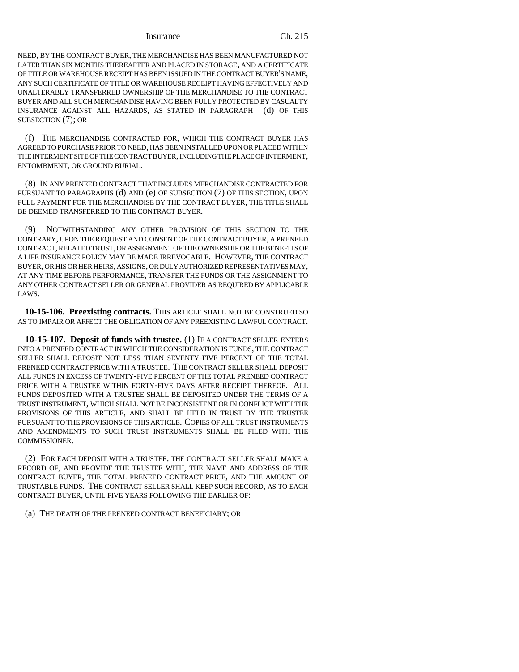NEED, BY THE CONTRACT BUYER, THE MERCHANDISE HAS BEEN MANUFACTURED NOT LATER THAN SIX MONTHS THEREAFTER AND PLACED IN STORAGE, AND A CERTIFICATE OF TITLE OR WAREHOUSE RECEIPT HAS BEEN ISSUED IN THE CONTRACT BUYER'S NAME, ANY SUCH CERTIFICATE OF TITLE OR WAREHOUSE RECEIPT HAVING EFFECTIVELY AND UNALTERABLY TRANSFERRED OWNERSHIP OF THE MERCHANDISE TO THE CONTRACT BUYER AND ALL SUCH MERCHANDISE HAVING BEEN FULLY PROTECTED BY CASUALTY INSURANCE AGAINST ALL HAZARDS, AS STATED IN PARAGRAPH (d) OF THIS SUBSECTION (7); OR

(f) THE MERCHANDISE CONTRACTED FOR, WHICH THE CONTRACT BUYER HAS AGREED TO PURCHASE PRIOR TO NEED, HAS BEEN INSTALLED UPON OR PLACED WITHIN THE INTERMENT SITE OF THE CONTRACT BUYER, INCLUDING THE PLACE OF INTERMENT, ENTOMBMENT, OR GROUND BURIAL.

(8) IN ANY PRENEED CONTRACT THAT INCLUDES MERCHANDISE CONTRACTED FOR PURSUANT TO PARAGRAPHS (d) AND (e) OF SUBSECTION (7) OF THIS SECTION, UPON FULL PAYMENT FOR THE MERCHANDISE BY THE CONTRACT BUYER, THE TITLE SHALL BE DEEMED TRANSFERRED TO THE CONTRACT BUYER.

(9) NOTWITHSTANDING ANY OTHER PROVISION OF THIS SECTION TO THE CONTRARY, UPON THE REQUEST AND CONSENT OF THE CONTRACT BUYER, A PRENEED CONTRACT, RELATED TRUST, OR ASSIGNMENT OF THE OWNERSHIP OR THE BENEFITS OF A LIFE INSURANCE POLICY MAY BE MADE IRREVOCABLE. HOWEVER, THE CONTRACT BUYER, OR HIS OR HER HEIRS, ASSIGNS, OR DULY AUTHORIZED REPRESENTATIVES MAY, AT ANY TIME BEFORE PERFORMANCE, TRANSFER THE FUNDS OR THE ASSIGNMENT TO ANY OTHER CONTRACT SELLER OR GENERAL PROVIDER AS REQUIRED BY APPLICABLE LAWS.

**10-15-106. Preexisting contracts.** THIS ARTICLE SHALL NOT BE CONSTRUED SO AS TO IMPAIR OR AFFECT THE OBLIGATION OF ANY PREEXISTING LAWFUL CONTRACT.

**10-15-107. Deposit of funds with trustee.** (1) IF A CONTRACT SELLER ENTERS INTO A PRENEED CONTRACT IN WHICH THE CONSIDERATION IS FUNDS, THE CONTRACT SELLER SHALL DEPOSIT NOT LESS THAN SEVENTY-FIVE PERCENT OF THE TOTAL PRENEED CONTRACT PRICE WITH A TRUSTEE. THE CONTRACT SELLER SHALL DEPOSIT ALL FUNDS IN EXCESS OF TWENTY-FIVE PERCENT OF THE TOTAL PRENEED CONTRACT PRICE WITH A TRUSTEE WITHIN FORTY-FIVE DAYS AFTER RECEIPT THEREOF. ALL FUNDS DEPOSITED WITH A TRUSTEE SHALL BE DEPOSITED UNDER THE TERMS OF A TRUST INSTRUMENT, WHICH SHALL NOT BE INCONSISTENT OR IN CONFLICT WITH THE PROVISIONS OF THIS ARTICLE, AND SHALL BE HELD IN TRUST BY THE TRUSTEE PURSUANT TO THE PROVISIONS OF THIS ARTICLE. COPIES OF ALL TRUST INSTRUMENTS AND AMENDMENTS TO SUCH TRUST INSTRUMENTS SHALL BE FILED WITH THE COMMISSIONER.

(2) FOR EACH DEPOSIT WITH A TRUSTEE, THE CONTRACT SELLER SHALL MAKE A RECORD OF, AND PROVIDE THE TRUSTEE WITH, THE NAME AND ADDRESS OF THE CONTRACT BUYER, THE TOTAL PRENEED CONTRACT PRICE, AND THE AMOUNT OF TRUSTABLE FUNDS. THE CONTRACT SELLER SHALL KEEP SUCH RECORD, AS TO EACH CONTRACT BUYER, UNTIL FIVE YEARS FOLLOWING THE EARLIER OF:

(a) THE DEATH OF THE PRENEED CONTRACT BENEFICIARY; OR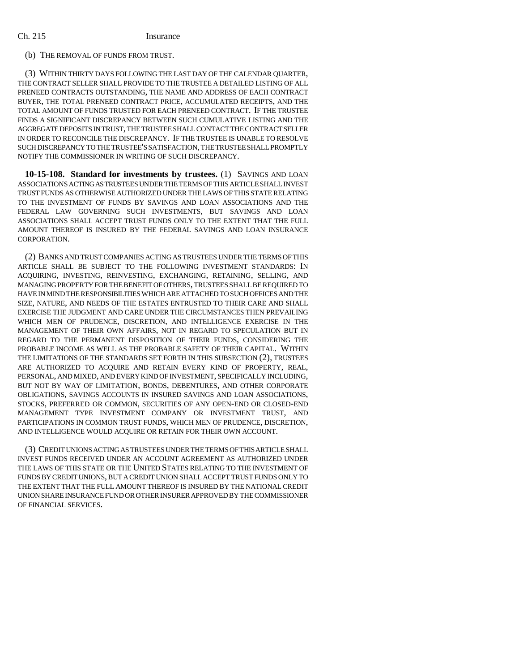# (b) THE REMOVAL OF FUNDS FROM TRUST.

(3) WITHIN THIRTY DAYS FOLLOWING THE LAST DAY OF THE CALENDAR QUARTER, THE CONTRACT SELLER SHALL PROVIDE TO THE TRUSTEE A DETAILED LISTING OF ALL PRENEED CONTRACTS OUTSTANDING, THE NAME AND ADDRESS OF EACH CONTRACT BUYER, THE TOTAL PRENEED CONTRACT PRICE, ACCUMULATED RECEIPTS, AND THE TOTAL AMOUNT OF FUNDS TRUSTED FOR EACH PRENEED CONTRACT. IF THE TRUSTEE FINDS A SIGNIFICANT DISCREPANCY BETWEEN SUCH CUMULATIVE LISTING AND THE AGGREGATE DEPOSITS IN TRUST, THE TRUSTEE SHALL CONTACT THE CONTRACT SELLER IN ORDER TO RECONCILE THE DISCREPANCY. IF THE TRUSTEE IS UNABLE TO RESOLVE SUCH DISCREPANCY TO THE TRUSTEE'S SATISFACTION, THE TRUSTEE SHALL PROMPTLY NOTIFY THE COMMISSIONER IN WRITING OF SUCH DISCREPANCY.

**10-15-108. Standard for investments by trustees.** (1) SAVINGS AND LOAN ASSOCIATIONS ACTING AS TRUSTEES UNDER THE TERMS OF THIS ARTICLE SHALL INVEST TRUST FUNDS AS OTHERWISE AUTHORIZED UNDER THE LAWS OF THIS STATE RELATING TO THE INVESTMENT OF FUNDS BY SAVINGS AND LOAN ASSOCIATIONS AND THE FEDERAL LAW GOVERNING SUCH INVESTMENTS, BUT SAVINGS AND LOAN ASSOCIATIONS SHALL ACCEPT TRUST FUNDS ONLY TO THE EXTENT THAT THE FULL AMOUNT THEREOF IS INSURED BY THE FEDERAL SAVINGS AND LOAN INSURANCE CORPORATION.

(2) BANKS AND TRUST COMPANIES ACTING AS TRUSTEES UNDER THE TERMS OF THIS ARTICLE SHALL BE SUBJECT TO THE FOLLOWING INVESTMENT STANDARDS: IN ACQUIRING, INVESTING, REINVESTING, EXCHANGING, RETAINING, SELLING, AND MANAGING PROPERTY FOR THE BENEFIT OF OTHERS, TRUSTEES SHALL BE REQUIRED TO HAVE IN MIND THE RESPONSIBILITIES WHICH ARE ATTACHED TO SUCH OFFICES AND THE SIZE, NATURE, AND NEEDS OF THE ESTATES ENTRUSTED TO THEIR CARE AND SHALL EXERCISE THE JUDGMENT AND CARE UNDER THE CIRCUMSTANCES THEN PREVAILING WHICH MEN OF PRUDENCE, DISCRETION, AND INTELLIGENCE EXERCISE IN THE MANAGEMENT OF THEIR OWN AFFAIRS, NOT IN REGARD TO SPECULATION BUT IN REGARD TO THE PERMANENT DISPOSITION OF THEIR FUNDS, CONSIDERING THE PROBABLE INCOME AS WELL AS THE PROBABLE SAFETY OF THEIR CAPITAL. WITHIN THE LIMITATIONS OF THE STANDARDS SET FORTH IN THIS SUBSECTION (2), TRUSTEES ARE AUTHORIZED TO ACQUIRE AND RETAIN EVERY KIND OF PROPERTY, REAL, PERSONAL, AND MIXED, AND EVERY KIND OF INVESTMENT, SPECIFICALLY INCLUDING, BUT NOT BY WAY OF LIMITATION, BONDS, DEBENTURES, AND OTHER CORPORATE OBLIGATIONS, SAVINGS ACCOUNTS IN INSURED SAVINGS AND LOAN ASSOCIATIONS, STOCKS, PREFERRED OR COMMON, SECURITIES OF ANY OPEN-END OR CLOSED-END MANAGEMENT TYPE INVESTMENT COMPANY OR INVESTMENT TRUST, AND PARTICIPATIONS IN COMMON TRUST FUNDS, WHICH MEN OF PRUDENCE, DISCRETION, AND INTELLIGENCE WOULD ACQUIRE OR RETAIN FOR THEIR OWN ACCOUNT.

(3) CREDIT UNIONS ACTING AS TRUSTEES UNDER THE TERMS OF THIS ARTICLE SHALL INVEST FUNDS RECEIVED UNDER AN ACCOUNT AGREEMENT AS AUTHORIZED UNDER THE LAWS OF THIS STATE OR THE UNITED STATES RELATING TO THE INVESTMENT OF FUNDS BY CREDIT UNIONS, BUT A CREDIT UNION SHALL ACCEPT TRUST FUNDS ONLY TO THE EXTENT THAT THE FULL AMOUNT THEREOF IS INSURED BY THE NATIONAL CREDIT UNION SHARE INSURANCE FUND OR OTHER INSURER APPROVED BY THE COMMISSIONER OF FINANCIAL SERVICES.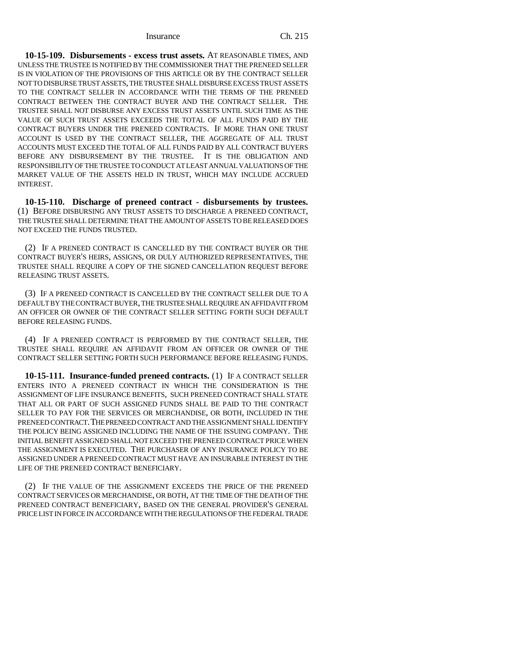**10-15-109. Disbursements - excess trust assets.** AT REASONABLE TIMES, AND UNLESS THE TRUSTEE IS NOTIFIED BY THE COMMISSIONER THAT THE PRENEED SELLER IS IN VIOLATION OF THE PROVISIONS OF THIS ARTICLE OR BY THE CONTRACT SELLER NOT TO DISBURSE TRUST ASSETS, THE TRUSTEE SHALL DISBURSE EXCESS TRUST ASSETS TO THE CONTRACT SELLER IN ACCORDANCE WITH THE TERMS OF THE PRENEED CONTRACT BETWEEN THE CONTRACT BUYER AND THE CONTRACT SELLER. THE TRUSTEE SHALL NOT DISBURSE ANY EXCESS TRUST ASSETS UNTIL SUCH TIME AS THE VALUE OF SUCH TRUST ASSETS EXCEEDS THE TOTAL OF ALL FUNDS PAID BY THE CONTRACT BUYERS UNDER THE PRENEED CONTRACTS. IF MORE THAN ONE TRUST ACCOUNT IS USED BY THE CONTRACT SELLER, THE AGGREGATE OF ALL TRUST ACCOUNTS MUST EXCEED THE TOTAL OF ALL FUNDS PAID BY ALL CONTRACT BUYERS BEFORE ANY DISBURSEMENT BY THE TRUSTEE. IT IS THE OBLIGATION AND RESPONSIBILITY OF THE TRUSTEE TO CONDUCT AT LEAST ANNUAL VALUATIONS OF THE MARKET VALUE OF THE ASSETS HELD IN TRUST, WHICH MAY INCLUDE ACCRUED INTEREST.

**10-15-110. Discharge of preneed contract - disbursements by trustees.** (1) BEFORE DISBURSING ANY TRUST ASSETS TO DISCHARGE A PRENEED CONTRACT, THE TRUSTEE SHALL DETERMINE THAT THE AMOUNT OF ASSETS TO BE RELEASED DOES NOT EXCEED THE FUNDS TRUSTED.

(2) IF A PRENEED CONTRACT IS CANCELLED BY THE CONTRACT BUYER OR THE CONTRACT BUYER'S HEIRS, ASSIGNS, OR DULY AUTHORIZED REPRESENTATIVES, THE TRUSTEE SHALL REQUIRE A COPY OF THE SIGNED CANCELLATION REQUEST BEFORE RELEASING TRUST ASSETS.

(3) IF A PRENEED CONTRACT IS CANCELLED BY THE CONTRACT SELLER DUE TO A DEFAULT BY THE CONTRACT BUYER, THE TRUSTEE SHALL REQUIRE AN AFFIDAVIT FROM AN OFFICER OR OWNER OF THE CONTRACT SELLER SETTING FORTH SUCH DEFAULT BEFORE RELEASING FUNDS.

(4) IF A PRENEED CONTRACT IS PERFORMED BY THE CONTRACT SELLER, THE TRUSTEE SHALL REQUIRE AN AFFIDAVIT FROM AN OFFICER OR OWNER OF THE CONTRACT SELLER SETTING FORTH SUCH PERFORMANCE BEFORE RELEASING FUNDS.

**10-15-111. Insurance-funded preneed contracts.** (1) IF A CONTRACT SELLER ENTERS INTO A PRENEED CONTRACT IN WHICH THE CONSIDERATION IS THE ASSIGNMENT OF LIFE INSURANCE BENEFITS, SUCH PRENEED CONTRACT SHALL STATE THAT ALL OR PART OF SUCH ASSIGNED FUNDS SHALL BE PAID TO THE CONTRACT SELLER TO PAY FOR THE SERVICES OR MERCHANDISE, OR BOTH, INCLUDED IN THE PRENEED CONTRACT.THE PRENEED CONTRACT AND THE ASSIGNMENT SHALL IDENTIFY THE POLICY BEING ASSIGNED INCLUDING THE NAME OF THE ISSUING COMPANY. THE INITIAL BENEFIT ASSIGNED SHALL NOT EXCEED THE PRENEED CONTRACT PRICE WHEN THE ASSIGNMENT IS EXECUTED. THE PURCHASER OF ANY INSURANCE POLICY TO BE ASSIGNED UNDER A PRENEED CONTRACT MUST HAVE AN INSURABLE INTEREST IN THE LIFE OF THE PRENEED CONTRACT BENEFICIARY.

(2) IF THE VALUE OF THE ASSIGNMENT EXCEEDS THE PRICE OF THE PRENEED CONTRACT SERVICES OR MERCHANDISE, OR BOTH, AT THE TIME OF THE DEATH OF THE PRENEED CONTRACT BENEFICIARY, BASED ON THE GENERAL PROVIDER'S GENERAL PRICE LIST IN FORCE IN ACCORDANCE WITH THE REGULATIONS OF THE FEDERAL TRADE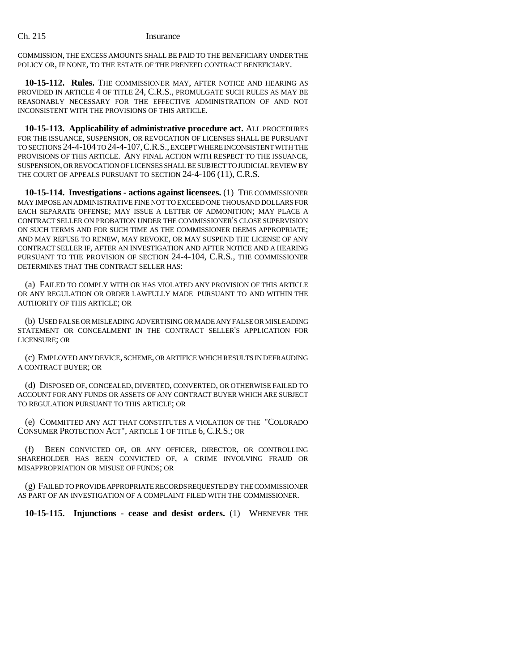COMMISSION, THE EXCESS AMOUNTS SHALL BE PAID TO THE BENEFICIARY UNDER THE POLICY OR, IF NONE, TO THE ESTATE OF THE PRENEED CONTRACT BENEFICIARY.

**10-15-112. Rules.** THE COMMISSIONER MAY, AFTER NOTICE AND HEARING AS PROVIDED IN ARTICLE 4 OF TITLE 24, C.R.S., PROMULGATE SUCH RULES AS MAY BE REASONABLY NECESSARY FOR THE EFFECTIVE ADMINISTRATION OF AND NOT INCONSISTENT WITH THE PROVISIONS OF THIS ARTICLE.

**10-15-113. Applicability of administrative procedure act.** ALL PROCEDURES FOR THE ISSUANCE, SUSPENSION, OR REVOCATION OF LICENSES SHALL BE PURSUANT TO SECTIONS 24-4-104 TO 24-4-107,C.R.S., EXCEPT WHERE INCONSISTENT WITH THE PROVISIONS OF THIS ARTICLE. ANY FINAL ACTION WITH RESPECT TO THE ISSUANCE, SUSPENSION, OR REVOCATION OF LICENSES SHALL BE SUBJECT TO JUDICIAL REVIEW BY THE COURT OF APPEALS PURSUANT TO SECTION 24-4-106 (11), C.R.S.

**10-15-114. Investigations - actions against licensees.** (1) THE COMMISSIONER MAY IMPOSE AN ADMINISTRATIVE FINE NOT TO EXCEED ONE THOUSAND DOLLARS FOR EACH SEPARATE OFFENSE; MAY ISSUE A LETTER OF ADMONITION; MAY PLACE A CONTRACT SELLER ON PROBATION UNDER THE COMMISSIONER'S CLOSE SUPERVISION ON SUCH TERMS AND FOR SUCH TIME AS THE COMMISSIONER DEEMS APPROPRIATE; AND MAY REFUSE TO RENEW, MAY REVOKE, OR MAY SUSPEND THE LICENSE OF ANY CONTRACT SELLER IF, AFTER AN INVESTIGATION AND AFTER NOTICE AND A HEARING PURSUANT TO THE PROVISION OF SECTION 24-4-104, C.R.S., THE COMMISSIONER DETERMINES THAT THE CONTRACT SELLER HAS:

(a) FAILED TO COMPLY WITH OR HAS VIOLATED ANY PROVISION OF THIS ARTICLE OR ANY REGULATION OR ORDER LAWFULLY MADE PURSUANT TO AND WITHIN THE AUTHORITY OF THIS ARTICLE; OR

(b) USED FALSE OR MISLEADING ADVERTISING OR MADE ANY FALSE OR MISLEADING STATEMENT OR CONCEALMENT IN THE CONTRACT SELLER'S APPLICATION FOR LICENSURE; OR

(c) EMPLOYED ANY DEVICE, SCHEME, OR ARTIFICE WHICH RESULTS IN DEFRAUDING A CONTRACT BUYER; OR

(d) DISPOSED OF, CONCEALED, DIVERTED, CONVERTED, OR OTHERWISE FAILED TO ACCOUNT FOR ANY FUNDS OR ASSETS OF ANY CONTRACT BUYER WHICH ARE SUBJECT TO REGULATION PURSUANT TO THIS ARTICLE; OR

(e) COMMITTED ANY ACT THAT CONSTITUTES A VIOLATION OF THE "COLORADO CONSUMER PROTECTION ACT", ARTICLE 1 OF TITLE 6, C.R.S.; OR

(f) BEEN CONVICTED OF, OR ANY OFFICER, DIRECTOR, OR CONTROLLING SHAREHOLDER HAS BEEN CONVICTED OF, A CRIME INVOLVING FRAUD OR MISAPPROPRIATION OR MISUSE OF FUNDS; OR

(g) FAILED TO PROVIDE APPROPRIATE RECORDS REQUESTED BY THE COMMISSIONER AS PART OF AN INVESTIGATION OF A COMPLAINT FILED WITH THE COMMISSIONER.

**10-15-115. Injunctions - cease and desist orders.** (1) WHENEVER THE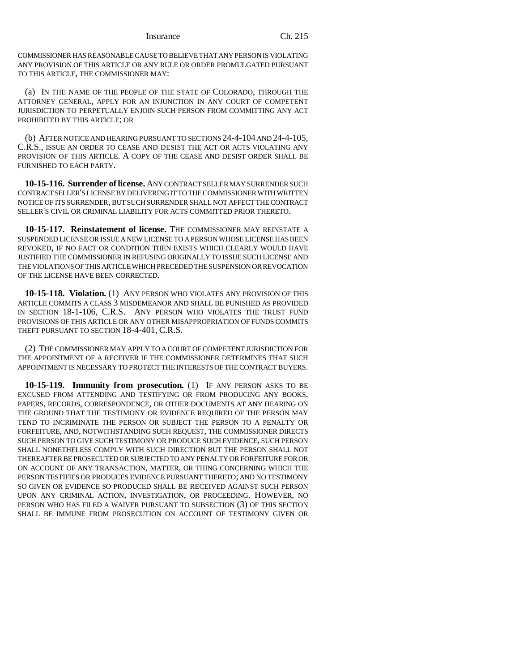COMMISSIONER HAS REASONABLE CAUSE TO BELIEVE THAT ANY PERSON IS VIOLATING ANY PROVISION OF THIS ARTICLE OR ANY RULE OR ORDER PROMULGATED PURSUANT TO THIS ARTICLE, THE COMMISSIONER MAY:

(a) IN THE NAME OF THE PEOPLE OF THE STATE OF COLORADO, THROUGH THE ATTORNEY GENERAL, APPLY FOR AN INJUNCTION IN ANY COURT OF COMPETENT JURISDICTION TO PERPETUALLY ENJOIN SUCH PERSON FROM COMMITTING ANY ACT PROHIBITED BY THIS ARTICLE; OR

(b) AFTER NOTICE AND HEARING PURSUANT TO SECTIONS 24-4-104 AND 24-4-105, C.R.S., ISSUE AN ORDER TO CEASE AND DESIST THE ACT OR ACTS VIOLATING ANY PROVISION OF THIS ARTICLE. A COPY OF THE CEASE AND DESIST ORDER SHALL BE FURNISHED TO EACH PARTY.

**10-15-116. Surrender of license.** ANY CONTRACT SELLER MAY SURRENDER SUCH CONTRACT SELLER'S LICENSE BY DELIVERING IT TO THE COMMISSIONER WITH WRITTEN NOTICE OF ITS SURRENDER, BUT SUCH SURRENDER SHALL NOT AFFECT THE CONTRACT SELLER'S CIVIL OR CRIMINAL LIABILITY FOR ACTS COMMITTED PRIOR THERETO.

**10-15-117. Reinstatement of license.** THE COMMISSIONER MAY REINSTATE A SUSPENDED LICENSE OR ISSUE A NEW LICENSE TO A PERSON WHOSE LICENSE HAS BEEN REVOKED, IF NO FACT OR CONDITION THEN EXISTS WHICH CLEARLY WOULD HAVE JUSTIFIED THE COMMISSIONER IN REFUSING ORIGINALLY TO ISSUE SUCH LICENSE AND THE VIOLATIONS OF THIS ARTICLE WHICH PRECEDED THE SUSPENSION OR REVOCATION OF THE LICENSE HAVE BEEN CORRECTED.

**10-15-118. Violation.** (1) ANY PERSON WHO VIOLATES ANY PROVISION OF THIS ARTICLE COMMITS A CLASS 3 MISDEMEANOR AND SHALL BE PUNISHED AS PROVIDED IN SECTION 18-1-106, C.R.S. ANY PERSON WHO VIOLATES THE TRUST FUND PROVISIONS OF THIS ARTICLE OR ANY OTHER MISAPPROPRIATION OF FUNDS COMMITS THEFT PURSUANT TO SECTION 18-4-401, C.R.S.

(2) THE COMMISSIONER MAY APPLY TO A COURT OF COMPETENT JURISDICTION FOR THE APPOINTMENT OF A RECEIVER IF THE COMMISSIONER DETERMINES THAT SUCH APPOINTMENT IS NECESSARY TO PROTECT THE INTERESTS OF THE CONTRACT BUYERS.

**10-15-119. Immunity from prosecution.** (1) IF ANY PERSON ASKS TO BE EXCUSED FROM ATTENDING AND TESTIFYING OR FROM PRODUCING ANY BOOKS, PAPERS, RECORDS, CORRESPONDENCE, OR OTHER DOCUMENTS AT ANY HEARING ON THE GROUND THAT THE TESTIMONY OR EVIDENCE REQUIRED OF THE PERSON MAY TEND TO INCRIMINATE THE PERSON OR SUBJECT THE PERSON TO A PENALTY OR FORFEITURE, AND, NOTWITHSTANDING SUCH REQUEST, THE COMMISSIONER DIRECTS SUCH PERSON TO GIVE SUCH TESTIMONY OR PRODUCE SUCH EVIDENCE, SUCH PERSON SHALL NONETHELESS COMPLY WITH SUCH DIRECTION BUT THE PERSON SHALL NOT THEREAFTER BE PROSECUTED OR SUBJECTED TO ANY PENALTY OR FORFEITURE FOR OR ON ACCOUNT OF ANY TRANSACTION, MATTER, OR THING CONCERNING WHICH THE PERSON TESTIFIES OR PRODUCES EVIDENCE PURSUANT THERETO; AND NO TESTIMONY SO GIVEN OR EVIDENCE SO PRODUCED SHALL BE RECEIVED AGAINST SUCH PERSON UPON ANY CRIMINAL ACTION, INVESTIGATION, OR PROCEEDING. HOWEVER, NO PERSON WHO HAS FILED A WAIVER PURSUANT TO SUBSECTION (3) OF THIS SECTION SHALL BE IMMUNE FROM PROSECUTION ON ACCOUNT OF TESTIMONY GIVEN OR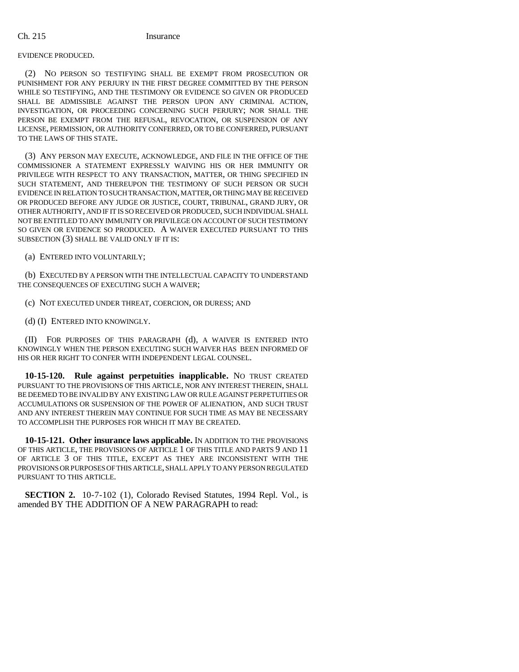# EVIDENCE PRODUCED.

(2) NO PERSON SO TESTIFYING SHALL BE EXEMPT FROM PROSECUTION OR PUNISHMENT FOR ANY PERJURY IN THE FIRST DEGREE COMMITTED BY THE PERSON WHILE SO TESTIFYING, AND THE TESTIMONY OR EVIDENCE SO GIVEN OR PRODUCED SHALL BE ADMISSIBLE AGAINST THE PERSON UPON ANY CRIMINAL ACTION, INVESTIGATION, OR PROCEEDING CONCERNING SUCH PERJURY; NOR SHALL THE PERSON BE EXEMPT FROM THE REFUSAL, REVOCATION, OR SUSPENSION OF ANY LICENSE, PERMISSION, OR AUTHORITY CONFERRED, OR TO BE CONFERRED, PURSUANT TO THE LAWS OF THIS STATE.

(3) ANY PERSON MAY EXECUTE, ACKNOWLEDGE, AND FILE IN THE OFFICE OF THE COMMISSIONER A STATEMENT EXPRESSLY WAIVING HIS OR HER IMMUNITY OR PRIVILEGE WITH RESPECT TO ANY TRANSACTION, MATTER, OR THING SPECIFIED IN SUCH STATEMENT, AND THEREUPON THE TESTIMONY OF SUCH PERSON OR SUCH EVIDENCE IN RELATION TO SUCH TRANSACTION, MATTER, OR THING MAY BE RECEIVED OR PRODUCED BEFORE ANY JUDGE OR JUSTICE, COURT, TRIBUNAL, GRAND JURY, OR OTHER AUTHORITY, AND IF IT IS SO RECEIVED OR PRODUCED, SUCH INDIVIDUAL SHALL NOT BE ENTITLED TO ANY IMMUNITY OR PRIVILEGE ON ACCOUNT OF SUCH TESTIMONY SO GIVEN OR EVIDENCE SO PRODUCED. A WAIVER EXECUTED PURSUANT TO THIS SUBSECTION (3) SHALL BE VALID ONLY IF IT IS:

(a) ENTERED INTO VOLUNTARILY;

(b) EXECUTED BY A PERSON WITH THE INTELLECTUAL CAPACITY TO UNDERSTAND THE CONSEQUENCES OF EXECUTING SUCH A WAIVER;

(c) NOT EXECUTED UNDER THREAT, COERCION, OR DURESS; AND

(d) (I) ENTERED INTO KNOWINGLY.

(II) FOR PURPOSES OF THIS PARAGRAPH (d), A WAIVER IS ENTERED INTO KNOWINGLY WHEN THE PERSON EXECUTING SUCH WAIVER HAS BEEN INFORMED OF HIS OR HER RIGHT TO CONFER WITH INDEPENDENT LEGAL COUNSEL.

**10-15-120. Rule against perpetuities inapplicable.** NO TRUST CREATED PURSUANT TO THE PROVISIONS OF THIS ARTICLE, NOR ANY INTEREST THEREIN, SHALL BE DEEMED TO BE INVALID BY ANY EXISTING LAW OR RULE AGAINST PERPETUITIES OR ACCUMULATIONS OR SUSPENSION OF THE POWER OF ALIENATION, AND SUCH TRUST AND ANY INTEREST THEREIN MAY CONTINUE FOR SUCH TIME AS MAY BE NECESSARY TO ACCOMPLISH THE PURPOSES FOR WHICH IT MAY BE CREATED.

**10-15-121. Other insurance laws applicable.** IN ADDITION TO THE PROVISIONS OF THIS ARTICLE, THE PROVISIONS OF ARTICLE 1 OF THIS TITLE AND PARTS 9 AND 11 OF ARTICLE 3 OF THIS TITLE, EXCEPT AS THEY ARE INCONSISTENT WITH THE PROVISIONS OR PURPOSES OF THIS ARTICLE, SHALL APPLY TO ANY PERSON REGULATED PURSUANT TO THIS ARTICLE.

**SECTION 2.** 10-7-102 (1), Colorado Revised Statutes, 1994 Repl. Vol., is amended BY THE ADDITION OF A NEW PARAGRAPH to read: